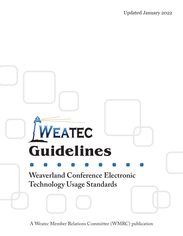

A Weatec Member Relations Committee (WMRC) publication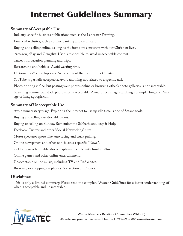# **Internet Guidelines Summary**

### **Summary of Acceptable Use**

Industry-specific business publications such as the Lancaster Farming.

Financial websites, such as online banking and credit card.

Buying and selling online, as long as the items are consistent with our Christian lives.

Amazon, eBay and Craigslist. User is responsible to avoid unacceptable content.

Travel info, vacation planning and trips.

Researching and hobbies. Avoid wasting time.

Dictionaries & encyclopedias. Avoid content that is not for a Christian.

YouTube is partially acceptable. Avoid anything not related to a specific task.

Photo printing is fine, but posting your photos online or browsing other's photo galleries is not acceptable.

Searching commercial stock photo sites is acceptable. Avoid direct image searching. (example; bing.com/image or image.google.com)

### **Summary of Unacceptable Use**

Avoid unnecessary usage. Exploring the internet to use up idle time is one of Satan's tools.

Buying and selling questionable items.

Buying or selling on Sunday. Remember the Sabbath, and keep it Holy.

Facebook, Twitter and other "Social Networking" sites.

Motor spectator sports like auto racing and truck pulling.

Online newspapers and other non-business specific "News".

Celebrity or other publications displaying people with limited attire.

Online games and other online entertainment.

Unacceptable online music, including TV and Radio sites.

Browsing or shopping on phones. See section on Phones.

### **Disclaimer:**

This is only a limited summary. Please read the complete Weatec Guidelines for a better understanding of what is acceptable and unacceptable.

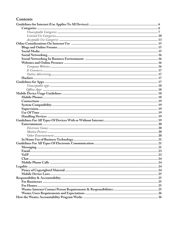### **Contents**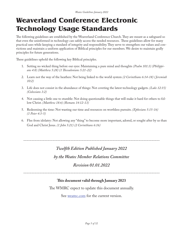## **Weaverland Conference Electronic Technology Usage Standards**

The following guidelines are established by the Weaverland Conference Church. They are meant as a safeguard so that even the uninformed in technology can safely access the needed resources. These guidelines allow for many practical uses while keeping a standard of integrity and responsibility. They serve to strengthen our values and convictions and maintain a uniform application of Biblical principles for our members. We desire to maintain godly principles for future generations.

These guidelines uphold the following key Biblical principles.

- 1. Setting no wicked thing before our eyes: Maintaining a pure mind and thoughts *(Psalm 101:3) (Philippians 4:8) (Matthew 5:28) (1 Thessalonians 5:21-22)*
- 2. Learn not the way of the heathen: Not being linked to the world system *(2 Corinthians 6:14-18) ( Jeremiah 10:2)*
- 3. Life does not consist in the abundance of things: Not coveting the latest technology gadgets. *(Luke 12:15) (Colossians 3:2)*
- 4. Not causing a little one to stumble: Not doing questionable things that will make it hard for others to follow Christ. *(Matthew 18:6) (Romans 14:12-13)*
- 5. Redeeming the time: Not wasting our time and resources on worthless pursuits. *(Ephesians 5:15-16) (1 Peter 4:3-5)*
- 6. Flee from idolatry: Not allowing any "thing" to become more important, adored, or sought after by us than God and Christ Jesus. *(1 John 5:21) (2 Corinthians 6:16)*

*------------------------------------------------------------------------------------*

### *Twelfth Edition Published January 2022*

*by the Weatec Member Relations Committee*

#### *Revision 01.01.2022*

#### *------------------------------------------------------------------------------------*

#### **This document valid through January 2023**

The WMRC expect to update this document annually.

See weatec.com for the current version.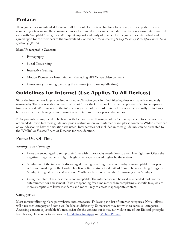### **Preface**

These guidelines are intended to include all forms of electronic technology. In general, it is acceptable if you are completing a task in an ethical manner. Since electronic devices can be used detrimentally, responsibility is needed even with "acceptable" categories. We request support and unity of practice for the guidelines established and agreed upon for the members of the Weaverland Conference. *"Endeavoring to keep the unity of the Spirit in the bond of peace" (Eph. 4:3).*

#### **Main Unacceptable Content:**

- Pornography
- Social Networking
- Interactive Gaming
- Motion Pictures for Entertainment (including all TV-type video content)
- Unnecessary Browsing (perusing the internet just to use up idle time)

### **Guidelines for Internet (Use Applies To All Devices)**

Since the internet was largely devised with non-Christian goals in mind, filtering does not make it completely trustworthy. There is available content that is not fit for the Christian. Christian people are called to be separate from the world. We must utilize the internet only as a tool for a task. Internet filters are occasionally a hindrance but remember the blessing of not having the temptations of the open-ended internet.

Extra precautions may need to be taken with teenage users. Having an older tech-savvy person to supervise is recommended. If you feel these guidelines pose a restriction on your internet usage, please contact a WMRC member or your deacon to have the situation evaluated. Internet uses not included in these guidelines can be presented to the WMRC or Weatec Board of Deacons for consideration.

### **Proper Use Of Time**

#### *Sundays and Evenings*

- Users are encouraged to set up their filter with time-of-day restrictions to avoid late night use. Often the negative things happen at night. Nighttime usage is scored higher by the system.
- Sunday use of the internet is discouraged. Buying or selling items on Sunday is unacceptable. Our practice is to avoid working on the Lord's Day. It is better to study God's Word than to be researching things on Sunday. Our goal is to use it as a tool. Youth can be more vulnerable to misusing it on Sundays.
- Using the internet as a pastime is not acceptable. The internet should be used as a needed tool, not for entertainment or amusement. If we are spending free time rather than completing a specific task, we are more susceptible to lower standards and more likely to access inappropriate content.

### **Categories**

Most internet filtering plans put websites into categories. Following is a list of internet categories. Not all filters will have each category and some will be labeled differently. Some users may not wish to access all categories. Accessing content is justifiable if a need exists for the content but it may not violate any of our Biblical principles. For phones, please refer to sections on Guidelines for Apps and Mobile Phones.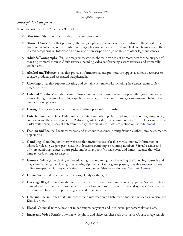#### *Unacceptable Categories*

These categories are Not Acceptable/Forbidden

- 8 **Abortion-** Abortion topics, both pro-life and pro-choice.
- 8 **Abused Drugs-** Sites that promote, offer, sell, supply, encourage or otherwise advocate the illegal use, cultivation, manufacture, or distribution of drugs, pharmaceuticals, intoxicating plants or chemicals and their related paraphernalia. Information on misuse of prescription drugs or abuse of other legal substances.
- 8 **Adult & Pornography-** Explicit magazines, stories, photos, or videos of immoral acts for the purpose of arousing immoral interest. Adult services including video conferencing, escort services, and immorally explicit art.
- 8 **Alcohol and Tobacco-** Sites that provide information about, promote, or support alcoholic beverages or tobacco products and associated paraphernalia.
- 8 **Cheating-** Sites that support cheating and contain such materials, including free essays, exam copies, plagiarism, etc.
- 8 **Cult and Occult-** Methods, means of instruction, or other resources to interpret, affect, or influence real events through the use of astrology, spells, curses, magic, and satanic powers, or supernatural beings. Includes horoscope sites.
- 8 **Dating-** Dating websites focused on establishing personal relationships.
- 8 **Entertainment and Arts-** Entertainment content in motion pictures, videos, television programs, books, comics, movie theaters, or galleries. Performing arts (theater, opera, symphonies, etc.). Includes amusement parks, water parks, places of entertainment, go-cart racing etc. Also see section on Entertainment.
- 8 **Fashion and Beauty-** Includes: fashion and glamour magazines, beauty, fashion clothes, jewelry, cosmetics, pop culture.
- 8 **Gambling-** Gambling or lottery websites that invite the use of real or virtual money. Information or advice for placing wagers, participating in lotteries, gambling, or running numbers. Virtual casinos and offshore gambling venues. Sports picks and betting pools. Virtual sports and fantasy leagues that offer large rewards or request wagers.
- 8 **Games-** Online game playing or downloading of computer games. Including the following: journals and magazines about game playing, sites offering tips and advice for game players, sites that support or host online sweepstakes, fantasy sports sites that host games. Also see section on *Electronic Games*.
- 8 **Gross-** Vomit and other bodily functions, bloody clothing, etc.
- 8 **Hacking-** Illegal or questionable access to or the use of such communications equipment/software. Development and distribution of programs that may allow compromise of networks and systems. Avoidance of licensing and fees for computer programs and other systems.
- 8 **Hate and Racism-** Sites that have content and information on hate crime and racism, such as Nazism, Ku Klux Klan, etc.
- 8 **Illegal-** Criminal activity, how not to get caught, copyright and intellectual property violations, etc.
- 8 **Image and Video Search-** Internet-wide photo and video searches such as Bing or Google image search-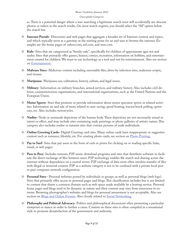#### *Unacceptable Categories*

es. There is a potential danger where a user searching a legitimate search term will accidentally see obscene photos or videos in the search results. On most search engines, you should select the "All" option below the search bar.

- 8 **Internet Portals-** Directories and web pages that aggregate a broader set of Internet content and topics, and which typically serve as a gateway or the starting point for an end user to browse the internet. Examples are the home pages of: yahoo.com, aol.com, and msn.com.
- 8 **Kids-** Sites that are categorized as "family-safe", specifically for children of approximate ages ten and under. Sites that primarily offer games, humor, comics, recreation, information on hobbies, and entertainment created for children. We want to use technology as a tool and not for entertainment. Also see section on Entertainment.
- 8 **Malware Sites-** Malicious content including executable files, drive-by infection sites, malicious scripts, and viruses.
- 8 **Marijuana-** Marijuana use, cultivation, history, culture, and legal issues.
- 8 **Military-** Information on military branches, armed services, and military history. Also includes civil defense, counterterrorism organizations, and international organizations, such as the United Nations and the European Union.
- 8 **Motor Sports-** Sites that promote or provide information about motor spectator sports or related activities. Information on and sale of items related to auto racing, speed boating, tractor/truck pulling, sprint cars, etc. Also includes motorcycles.
- 8 **Nudity-** Nude or seminude depictions of the human body. These depictions are not necessarily sexual in intent or effect, and may include sites containing nude paintings or photo galleries of artistic nature. This category also includes nudist or naturist sites that contain pictures of nude individuals.
- 8 **Online Greeting Cards-** Digital Greeting card sites. Many online cards have inappropriate or suggestive content such as romance, lifestyle, etc. For creating photo cards, see section on Photo Printing.
- 8 **Pay to Surf-** Sites that pay users in the form of cash or prizes for clicking on or reading specific links, email, or web pages.
- 8 **Peer to Peer-** Includes torrents, P2P music download programs and sites that distribute software to facilitate the direct exchange of files between users. P2P technology enables file search and sharing across the internet without dependence on a central server. P2P exchange of data most often involves transfer of files with illegal or immoral content. P2P as a website category is not to be confused with a private local peer to peer computer network configuration.
- 8 **Personal Sites** Personal websites posted by individuals or groups, as well as personal blogs (web logs). Sites that primarily offer access to personal pages and blogs. This classification includes but is not limited to content that shares a common domain such as web space made available by a hosting service. Personal home pages and blogs tend to be dynamic in nature and their content may vary from innocuous to extreme. Browsing photographer's websites and blogs for personal amusement is not acceptable. Also see section on Blogs and Online Forums. Also closely related to Social Networking.
- 8 **Philosophy and Political Advocacy-** Politics and philosophical discussions often promoting a particular viewpoint or stance in order to further a cause. Content on these sites is often compiled in a sensational style to promote dissatisfaction of the government and authority.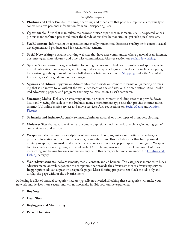#### *Unacceptable Categories*

- 8 **Phishing and Other Frauds-** Phishing, pharming, and other sites that pose as a reputable site, usually to collect sensitive personal information from an unsuspecting user.
- 8 **Questionable-** Sites that manipulate the browser or user experience in some unusual, unexpected, or suspicious manner. Often presented under the facade of tasteless humor sites or "get rich quick" sites etc.
- 8 **Sex Education-** Information on reproduction, sexually transmitted diseases, sexuality, birth control, sexual development, and products used for sexual enhancement.
- 8 **Social Networking-** Social networking websites that have user communities where personal users interact, post messages, share pictures, and otherwise communicate. Also see section on Social Networking.
- 8 **Sports-** Sports teams or league websites. Including: Scores and schedules for professional sports, sportsrelated publications, motorsports, and fantasy and virtual sports leagues. This does not include shopping for sporting goods equipment like baseball gloves or bats; see section on Shopping under the "Limited" Use Categories" for guidelines on such usage.
- 8 **Spyware and Adware-** Spyware or Adware sites that provide or promote information gathering or tracking that is unknown to, or without the explicit consent of, the end user or the organization. Also unsolicited advertising popups and programs that may be installed on a user's computer.
- 8 **Streaming Media-** Delivery or streaming of audio or video content, including sites that provide downloads and viewing for such content. Includes many entertainment-type sites that provide internet radio, internet TV, online music services and movie services. Also see sections on Social Media and Motion Pictures.
- 8 **Swimsuits and Intimate Apparel-** Swimsuits, intimate apparel, or other types of immodest clothing.
- 8 **Violence-** Sites that advocate violence, or contain depictions, and methods of violence, including game/ comic violence and suicide.
- 8 **Weapons-** Sales, reviews, or descriptions of weapons such as guns, knives, or martial arts devices, or provide information on their use, accessories, or modifications. This includes sites that have personal or military weapons, homemade and non-lethal weapons such as mace, pepper spray, or taser guns. Weapon facilities, such as shooting ranges. Special Note: Due to being associated with violence, useful sites for researching and buying firearms and knives may be in this category, but most are under the Hunting and Fishing category.
- 8 **Web Advertisements-** Advertisements, media, content, and ad banners. This category is intended to block advertisements on web pages, not the companies that provide the advertisements or advertising services. Inappropriate ads can appear on acceptable pages. Most filtering programs can block the ads only and display the page without the advertisements.

Following is a list of unusual categories that are typically not needed. Blocking these categories will make your network and devices more secure, and will not normally inhibit your online experience.

- 8 **Bot Nets**
- 8 **Dead Sites**
- 8 **Keyloggers and Monitoring**
- 8 **Parked Domains**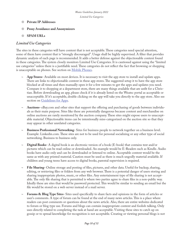#### 8 **Private IP Addresses**

- 8 **Proxy Avoidance and Anonymizers**
- 8 **SPAM URLs**

#### *Limited Use Categories*

The sites in these categories will have content that is not acceptable. These categories need special attention, some of them have content that is "strongly discouraged". Usage shall be highly supervised. A filter that provides dynamic analysis of each page is recommended. It adds a better defense against the objectionable content found in these categories. The system closely monitors Limited Use Categories. It is cautioned against using the "limited use categories" unless there is a justifiable need. These categories do not reflect the fact that browsing or shopping is unacceptable on phones. See section on Mobile Phones.

- **~ App Stores-** Available on most devices. It is necessary to visit the app store to install and update apps. There are links to objectionable content in these app stores. The suggested setup it to have the app store blocked at all times and then manually open it for a few minutes to get the apps and updates you need. Compare it to shopping at a department store, there are many things available that are unfit for a Christian. Before downloading an app, please check if it is already listed on the Weatec portal as acceptable or unacceptable. If it's acceptable, double clicking on the app will take you directly to the app store. Also see section on Guidelines for Apps.
- **~ Auctions-** eBay.com and other sites that support the offering and purchasing of goods between individuals as their main purpose. Sites like these are potentially dangerous because content and merchandise on online auctions are rarely monitored by the auction company. These sites might expose users to unacceptable material. Objectionable items can be intentionally miss-categorized on the auction site so that they may appear in other unrelated categories.
- **~ Business Professional Networking-** Sites for business people to network together on a business level. Example: Linkedin.com. These sites are not to be used for personal socializing or any other type of social networking. Business to business only.
- **~ Digital Books-** A digital book is an electronic version of a book (E-book) that contains text and/or pictures which can be read online or downloaded. An example would be E-Readers such as Kindle. Audio books have audio only and can be downloaded or listened to online. Acceptable content would be the same as with any printed material. Caution must be used as there is much ungodly material available. If children and young teens have access to digital books, parental supervision is required.
- **~ File Sharing-** Online storage and posting of files, pictures, and other data. Useful for backup, sharing, editing, or retrieving files or folders from any web browser. There is a potential danger of users storing and sharing inappropriate photos, music, or other files. Any entertainment type of file sharing is not acceptable. The only file sharing that is permitted is where two parties agree to share files in a non-public way. Ideally these are sites that would be password protected. This would be similar to sending an email but the file would be stored on a web server instead of a mail server.
- **~ Forums & Blog Type Sites-** Sites used specifically to share facts and opinions in the form of articles or user's comments. A type of forum can be found at the end of many news articles. This is a place where readers can post comments or questions about the news article. Also, there are entire websites dedicated to forum or blog type use. Forums and blogs can contain inappropriate content and foolish talking. Only uses directly related to completing the task at hand are acceptable. Visiting these sites to catch up on gossip or to spread knowledge for recognition is not acceptable. Creating or viewing personal blogs is not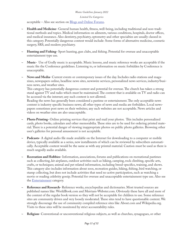#### *Limited Use Categories*

acceptable – Also see section on Blogs and Online Forums.

- **~ Health and Medicine-** General human health, fitness, well-being, including traditional and non-traditional methods and topics. Medical information on ailments, various conditions, hospitals, doctor offices, and medical insurance. Also dentistry, psychiatry, optometry and other specialties are usually classed in this category. Potentially dangerous content would include: Some forms of alternative medicine, cosmetic surgery, SRS, and modern psychiatry.
- **~ Hunting and Fishing-** Sport hunting, gun clubs, and fishing. Potential for overuse and unacceptable entertainment type use.
- **~ Music-** Use of Godly music is acceptable. Music lessons, and music reference works are acceptable if the music fits the Conference guidelines. Listening to, or information on music forbidden by Conference is unacceptable.
- **~ News and Media-** Current events or contemporary issues of the day. Includes radio stations and magazines, newspapers online, headline news sites, newswire services, personalized news services, industry/business news, and weather sites.

This category has potentially dangerous content and potential for overuse. The church has taken a strong stand against TV and radio which must be maintained. The content that is available on TV and radio can be accessed via the internet; any such content is not allowed.

Reading the news has generally been considered a pastime or entertainment. The only acceptable news content is industry specific business news; all other types of news and media are forbidden. Local newspapers sometimes post news on their websites; any such websites are not acceptable. News articles and videos on weather sites are also unacceptable.

- **~ Photo Printing-** Online printing services that print and mail your photos. This includes personalized cards, photo books, calendars and other memorabilia. These sites are to be used for ordering printed material. There is a potential danger of viewing inappropriate photos on public photo galleries. Browsing other user's galleries for personal amusement is not acceptable.
- **~ Podcasts-** A digital audio file made available on the Internet for downloading to a computer or mobile device, typically available as a series, new installments of which can be reviewed by subscribers automatically. Acceptable content would be the same as with any printed material. Caution must be used as there is much ungodly audio available.
- **~ Recreation and Hobbies-** Information, associations, forums and publications on recreational pastimes such as collecting, kit airplanes, outdoor activities such as hiking, camping, rock climbing, specific arts, crafts, or techniques; animal and pet related information, including breed-specifics, training, and shows. This category also includes information about zoos, recreation guides, hiking, fishing, bird watching, or stamp collecting, but does not include activities that need no active participation, such as watching a movie or reading celebrity gossip. Potential for overuse and unacceptable entertainment type use. Also see the Entertainment category.
- **~ Reference and Research-** Reference works, encyclopedias and dictionaries. Most trusted sources are published names like: WorldBook.com and Merriam-Webster.com. Obviously these have all and more of the content of the regular book version so they will not be acceptable for children to use. Some reference sites are community driven and very loosely moderated. These sites tend to have questionable content. We strongly discourage the use of community compiled reference sites like About.com and Wikipedia.org. Visits to these sites will be monitored by strict accountability rules.
- **~ Religion-** Conventional or unconventional religious subjects, as well as churches, synagogues, or other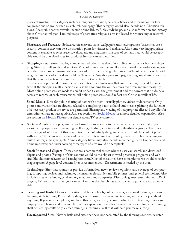#### *Limited Use Categories*

places of worship. This category includes religious discussion, beliefs, articles, and information for local congregations or groups such as a church homepage. This category would also include non-Christian religions. Acceptable content would include online Bibles, Bible study helps, and also information and history about Christian religion. Limited usage of alternative religious sites is allowed for counseling or research purposes.

- **~ Shareware and Freeware-** Software, screensavers, icons, wallpapers, utilities, ringtones. These sites are a security concern; they can be a distribution point for viruses and malware. Also some very inappropriate content is available as screensavers, wallpapers, and ringtones. The type of content that would be acceptable would be download sites for productivity software and utilities.
- **~ Shopping-** Retail stores, catalog companies and other sites that allow online consumer or business shopping. Sites that sell goods and services. Most of these sites operate like a traditional mail order catalog except that they have a dynamic website instead of a paper catalog. The danger with online stores is the wide range of products advertised and sold on these sites. Any shopping web pages selling any items or services that the church has taken a stand against, are not acceptable.

There is also a potential for overuse of these sites. In a similar way that someone might spend too much time at the shopping mall, a person can also be shopping the online stores too often and unnecessarily. Most online purchases are made via credit or debit card; the government and the powers that be, do have access to records of such transactions. All online purchases should reflect our Christian walk of life.

- **~ Social Media-** Sites for public sharing of data with others usually photos, videos or documents. Only photos and videos that are directly related to completing a task at hand and those explaining the function of a necessary product or service are permitted. Sharing and viewing of inappropriate files and any files for entertainment are not acceptable. Also see section on Social Media for a more detailed explanation. Also see section on **Motion Pictures** for details about TV type content.
- **~ Society-** A variety of topics, groups, and associations relevant to daily living. Broad issues that impact a variety of people groups including: wellbeing, children, societies, and philanthropic groups. There is a broad range of sites that fit this description. The potentially dangerous content would be content presented with a non-Christian world view and content with teaching that would go against Biblical teaching on child training, alms giving, etc. Some category filters may also include more benign sites like pet care, and home improvement under society; these types of sites would be acceptable.
- **~ Stock Photos and Clipart-** These sites are a commercial source where a user can search and download clipart and photos. Example of this content would be the clipart in word processor programs and websites like shutterstock.com and istockphoto.com. Most of these sites have some photos we would consider inappropriate. A page level content filter is recommended. Discernment is needed by the user.
- **~ Technology-** Sites that sponsor or provide information, news, reviews, opinions and coverage of computing, computing devices and technology, consumer electronics, mobile phones, and general technology. Also includes sites of technology-related organizations and companies. Electronic games, entertainment DVD players, TV sets, or any other goods or services that the church has taken a stand against are not acceptable.
- **~ Training and Tools-** Distance education and trade schools, online courses, vocational training, software training, skills training. Potential for danger or overuse: There is online training available for just about anything. If you are an employer, and have this category open, be aware what type of training courses your employees are taking and how much time they spend on these sites. Educational videos for career training shall be used by adults only. Career training is learning a skill that will help you make a living.
- **~ Uncategorized Sites-** New or little used sites that have not been rated by the filtering agencies. A deter-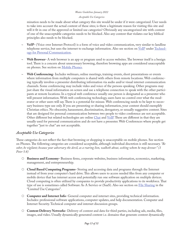#### *Acceptable Use Categories*

mination needs to be made about what category this site would be under if it were categorized. User needs to take into account the actual content of these sites; is there a legitimate reason for visiting this site and will it fit in one of the approved or limited use categories? Obviously any uncategorized site with content of one of the unacceptable categories needs to be blocked. Also any content that violates our key biblical principles also needs to be blocked.

- **~ VoIP‐** (Voice over Internet Protocol) is a form of voice and video communication, very similar to landline telephone service, but uses the internet to exchange information. Also see section on VoIP under Technology for Personal Communication.
- **Web Browser-** A web browser is an app or program used to access websites. The browser itself is a benign tool. There is a concern about unnecessary browsing, therefore browsing apps are considered unacceptable on phones. See section on Mobile Phones.
- **~ Web Conferencing-** Includes webinars, online meetings, training events, short presentations or events where information from multiple computers is shared with others from remote locations. Web conferencing typically involves a presenter distributing information via audio and/or visual internet communication channels. Some conferencing may include video and voice of the persons speaking. Other programs may just share the visual information on screen and use a telephone connection to speak with the other participants at remote locations. In a typical web conference usually one person is designated as a presenter who will present information. With web conferencing technology, users have no control over what the moderator or other users will say. There is a potential for misuse. Web conferencing needs to be kept to necessary business type use only. If you are presenting or sharing information, your content should exemplify Christian ethics. No obscenity, harassment, discrimination, derogatory, or sexually suggestive content. Sites that are designed for personal communication between two people to video conference are not acceptable. Other different but related technologies are online Chat and VoIP. These are different in that they are usually used for personal communication and do not have a presenter. Web Conferences where people get together "just to chat" are not acceptable.

#### *Acceptable Use Categories*

These categories do not reflect the fact that browsing or shopping is unacceptable on mobile phones. See section on Phones. The following categories are considered acceptable, although individual discretion is still necessary. *"Be sober, be vigilant; because your adversary the devil, as a roaring lion, walketh about, seeking whom he may devour:" (1 Peter 5:8)*

- { **Business and Economy-** Business firms, corporate websites, business information, economics, marketing, management, and entrepreneurship.
- { **Cloud Based Computing Programs-** Storing and accessing data and programs through the Internet instead of from your computer's hard drive. This allows users to access needed files from any computer or mobile device that has internet access and potentially run one software application on multiple devices. Cloud computing is often utilized by companies to provide productivity applications to its workforce. That type of use is sometimes called Software As A Service or (SaaS). Also see section on File Sharing in the "Limited Use Categories".
- { **Computer and Internet Info-** General computer and internet sites, providing technical information. Includes: professional software applications, computer updates, and help documentation. Computer and Internet Security. Technical computer and internet discussion groups.
- { **Content Delivery Networks-** Delivery of content and data for third parties, including ads, media, files, images, and video. Usually dynamically generated content i.e. domains that generate content dynamically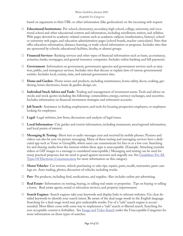#### *Acceptable Use Categories*

based on arguments to their URL or other information (like geolocation) on the incoming web request.

- { **Educational Institutions-** Pre-school, elementary, secondary, high school, college, university, and vocational school and other educational content and information, including enrollment, tuition, and syllabus. Web pages devoted to academic-related content such as academic subjects (mathematics, history), school or university web pages, and education administration pages (school boards, teacher curriculum). Sites that offer education information, distance learning, or trade school information or programs. Includes sites that are sponsored by schools, educational facilities, faculty, or alumni groups.
- { **Financial Services-** Banking services and other types of financial information such as loans, accountancy, actuaries, banks, mortgages, and general insurance companies. Includes online banking and bill payments.
- { **Government-** Information on government, government agencies and government services such as taxation, public, and emergency services. Includes sites that discuss or explain laws of various governmental entities. Includes local, county, state, and national government sites.
- { **Home and Garden-** Home issues and products, including maintenance, home safety, decor, cooking, gardening, home electronics, home & garden design, etc.
- { **Individual Stock Advice and Tools-** Trading and management of investment assets. Tools and advice on stocks and stock quotes including the following: commodities, energy, currency exchanges, and securities. Includes information on financial investment strategies and retirement accounts.
- { **Job Search-** Assistance in finding employment, and tools for locating prospective employers, or employers looking for employees.
- { **Legal-** Legal websites, law firms, discussions and analysis of legal issues.
- { **Local Information-** City guides and tourist information, including restaurants, area/regional information, and local points of interest.
- { **Messaging & Texting-** Short text or audio messages sent and received by mobile phones. Pictures and videos can also be sent via picture messaging. Many of these texting and messaging services have a dedicated app such as Voxer or GroupMe, where users can communicate for free or at a low cost. Searching for and sharing media from the internet within these apps is unacceptable. (Example: Attaching youtube videos or GIF images to a message is considered unacceptable.) Messaging and texting can be used for many practical purposes, but we need to guard against excessive and ungodly use. See Guidelines For All Types Of Electronic Communication for more information on this category.
- { **Motor Vehicles-** Car reviews, vehicle purchasing or sales tips, repairs, parts, recalls, warranties, parts catalogs etc. Auto trading, photos, discussion of vehicles including trucks.
- { **Pets-** Pet products, including feed, medications, and supplies. Also includes online pet advertising.
- { **Real Estate-** Information on renting, buying, or selling real estate or properties. Tips on buying or selling a home. Real estate agents, rental or relocation services, and property improvement.
- { **Search Engines-** Search engines take your keywords and display links to relevant websites. Use clear detailed keywords to identify your search intent. Be aware of the dual usage words in the English language. Searching for a dual usage word may give undesirable results. Use of a "safe" search engine is recommended. Most filters come with some way to implement a "safe" search or filtered search. Searching for non-acceptable content is forbidden. See Image and Video Search under the Unacceptable Categories for more information on those types of searches.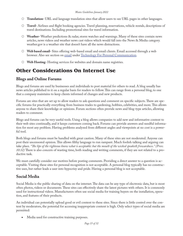- { **Translation-** URL and language translation sites that allow users to see URL pages in other languages.
- { **Travel-** Airlines and flight booking agencies. Travel planning, reservations, vehicle rentals, descriptions of travel destinations. Including promotional sites for travel information.
- { **Weather-** Weather predictions & radar, storm watches and warnings. Many of these sites contain news articles, news videos and weather news cast videos which would fall into the News & Media category. weather.gov is a weather site that doesn't have all the news distractions.
- { **Web based email-** Sites offering web-based email and email clients. Email accessed through a web browser. Also see section on email under Technology For Personal Communication.
- { **Web Hosting-** Hosting services for websites and domain name registries.

### **Other Considerations On Internet Use**

#### **Blogs and Online Forums**

Blogs and forums are used by businesses and individuals to post material for others to read. A blog usually has news articles published to it on a regular basis for readers to follow. This can range from a personal blog, to one that a company maintains to keep clients informed of changes and new products.

Forums are sites that are set up to allow readers to ask questions and comment on specific subjects. There are specific forums for practically everything from business trades to gardening, hobbies, celebrities, and more. This allows anyone to share their knowledge or opinions. Forum sections often provide news and blog-type articles, allowing readers to comment.

Blogs and forums can be very useful tools. Using a blog allows companies to add new and informative content to their web sites continually, and it keeps customers coming back. Forums can provide answers and needful information for most any problem. Having problems analyzed from different angles and viewpoints at no cost is a powerful tool.

Both blogs and forums must be handled with great caution. Many of these sites are not moderated. Anyone can post their uncensored opinion. This allows filthy language to run rampant. Much foolish talking and arguing can take place. *"The lips of the righteous know what is acceptable: but the mouth of the wicked speaketh frowardness." (Prov. 10:32)* There is also concern of wasting time, both reading and writing comments, if they are not related to a productive task.

We must carefully consider our motives before posting comments. Providing a direct answer to a question is acceptable. Visiting these sites for personal recognition is not acceptable. A personal blog typically has no constructive uses, but rather leads a user into hypocrisy and pride. Having a personal blog is not acceptable.

### **Social Media**

Social Media is the public sharing of data on the internet. The data can be any type of electronic data, but is most often photos, videos or documents. These sites can effectively share the latest pictures with others. It is commonly used for instructional videos. Manufacturers often use social media for training buyers on the installation, operation, and features of their products.

An individual can potentially upload good or evil content to these sites. Since there is little control over the content by moderators, the potential for accessing inappropriate content is high. Only select types of social media are permitted:

Media used for constructive training purposes.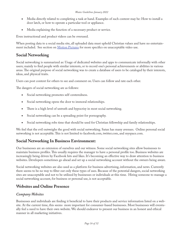- Media directly related to completing a task at hand. Examples of such content may be: How to install a door latch, or how to operate a particular tool or appliance.
- Media explaining the function of a necessary product or service.

Even instructional and product videos can be overused.

When posting data to a social media site, all uploaded data must uphold Christian values and have no entertainment included. See section on Motion Pictures for more specifics on unacceptable video use.

### **Social Networking**

Social networking is summarized as: Usage of dedicated websites and apps to communicate informally with other users; mainly to find people with similar interests, or to record one's personal achievements or abilities in various areas. The original purpose of social networking was to create a database of users to be cataloged by their interests, ideas, and physical traits.

Users can post content for others to see and comment on. Users can follow and rate each other.

The dangers of social networking are as follows:

- • Social networking promotes self-centeredness.
- Social networking opens the door to immoral relationships.
- There is a high level of untruth and hypocrisy in most social networking.
- Social networking can be a spreading point for pornography.
- Social networking robs time that should be used for Christian fellowship and family relationships.

We feel that the evil outweighs the good with social networking. Satan has many avenues. Online personal social networking is not acceptable. This is not limited to facebook.com, twitter.com, and myspace.com.

### **Social Networking In Business Environment:**

Our businesses are an extension of ourselves and our witness. Some social networking sites allow businesses to maintain business profiles. This usually requires the manager to have a personal profile too. Business websites are increasingly being driven by Facebook hits and likes. It's becoming an effective way to draw attention to business websites. Developers sometimes go ahead and set up a social networking account without the owners being aware.

Social networking websites are also used as a platform for business advertising, information, and news. Currently there seems to be no way to filter out only these types of uses. Because of the potential dangers, social networking sites are unacceptable and not to be utilized by businesses or individuals at this time. Hiring someone to manage a social networking account, for business or personal use, is not acceptable.

### **Websites and Online Presence**

#### *Company Websites*

Businesses and individuals are finding it beneficial to have their products and service information listed on a website. At the current time, this seems more important for consumer-based businesses. Most businesses will eventually feel a need to have their own website. We should endeavor to present our business in an honest and ethical manner in all marketing initiatives.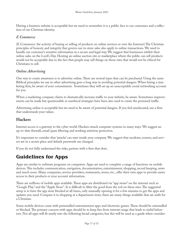Having a business website is acceptable but we need to remember it is a public face to our customers and a reflection of our Christian identity.

#### *E Commerce*

(E Commerce: the activity of buying or selling of products on online services or over the Internet) The Christian principles of honesty and integrity that govern our in-store sales also apply to online transactions. We need to handle our customer's sensitive information in a secure and legal way. We suggest that businesses inhibit their online sales on the Lord's Day. Hosting an online auction site or marketplace where the public can sell products would not be acceptable due to the fact that people may sell things on those sites that would not be ethical for Christians to sell.

#### *Online Advertising*

One way to create awareness is to advertise online. There are several types that can be purchased. Using the same Biblical principles we use in other advertising goes a long way in avoiding potential dangers. When hiring a marketing firm, be aware of your commitment. Sometimes they will set up an unacceptable social networking account for you.

When a marketing company claims to dramatically increase traffic to your website, be aware. Sometimes improvements can be made but questionable or unethical strategies have been also used to create the promised traffic.

Advertising online is acceptable but we need to be aware of potential dangers. If you feel uneducated, use a firm that understands your values.

### **Hackers**

Internet access is a gateway to the cyber world. Hackers attack computer systems in many ways. We suggest an up-to-date firewall, email spam filtering and working antivirus protection.

It's important to consider that 'attacks' can start inside your company. We suggest that modems, routers, and servers are in a secure place and default passwords are changed.

If you do not fully understand the risks, partner with a firm that does.

### **Guidelines for Apps**

Apps are similar to software programs on computers. Apps are used to complete a range of functions on mobile devices. This includes communication, navigation, documentation, entertainment, shopping, record keeping, news and much more. Many companies, service providers, restaurants, stores, etc., offer their own apps to provide easier access to their products or your account information.

There are millions of mobile apps available. These apps are distributed via "app stores" on the internet such as "Google Play" and the "Apple Store". It is difficult to filter the good from the evil on these sites. The suggested setup is to have the app store blocked at all times, only manually opening it for a few minutes to get the apps and updates you need. Compare it to shopping at a department store; there are many things available that are unfit for a Christian.

Some mobile devices come with preinstalled entertainment apps and electronic games. These should be uninstalled or blocked. The primary concern with apps should be to keep free from internet usage that leads to sinful behaviors. Not all apps will fit neatly into the following broad categories, but this will be used as a guide when consider-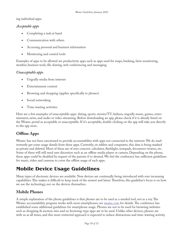#### ing individual apps:

#### *Acceptable apps*

- Completing a task at hand
- Communication with others
- Accessing personal and business information
- Monitoring and control tools

Examples of apps to be allowed are productivity apps such as apps used for maps, banking, farm monitoring, weather, business tools, file sharing, web conferencing and messaging.

#### *Unacceptable apps*

- Ungodly media from internet
- Entertainment content
- Browsing and shopping (applies specifically to phones)
- Social networking
- Time wasting activities

Here are a few examples of unacceptable apps: dating, sports, movies/TV, fashion, ungodly music, games, entertainment, news, and audio or video streaming. Before downloading an app, please check if it is already listed on the Weatec portal as acceptable or unacceptable. If it's acceptable, double clicking on the app will take you directly to the app store.

### **Offline Apps**

Weatec has not been sanctioned to provide accountability with apps not connected to the internet. We do inadvertently get some usage details from these apps. Currently, on tablets and computers, this data is being marked as private and deleted. Most of these are of zero concern: calculator, flashlight, notepads, document viewers, etc. Some of these will still need user discretion such as an offline media player or camera. Depending on the phone, these apps could be disabled by request of the parents if so desired. We feel the conference has sufficient guidelines for music, video and cameras to cover the offline usage of such apps.

### **Mobile Device Usage Guidelines**

Many types of electronic devices are available. New devices are continually being introduced with ever increasing capabilities. This makes it difficult to keep track of the newest and latest. Therefore, this guideline's focus is on how we use the technology, not on the devices themselves.

### **Mobile Phones**

A simple explanation of the phone guidelines is that phones are to be used as a needed tool, not as a toy. The Weatec accountability program works with most smartphones; see weatec.com for details. The conference has established some additional guidelines for smartphone usage. Phones are not to be used for browsing websites such as shopping & auction sites and no browsing-type apps are to be used. Unlike other devices, phones are with us at all times, and this more restricted approach is expected to reduce distractions and time-wasting activity.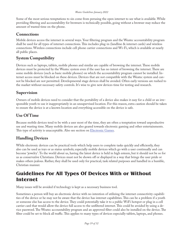Some of the most serious temptations to sin come from perusing the open internet to see what is available. While providing filtering and accountability for browsers is technically possible, going without a browser may reduce the amount of wasted time on the phone.

### **Connections**

Mobile devices access the internet in several ways. Your filtering program and the Weatec accountability program shall be used for all types of internet connections. This includes plug-in (landline & internet cards) and wireless connections. Wireless connections include cell phone carrier connections and Wi-Fi, which is available at nearly all public places.

### **System Compatibility**

Devices such as laptops, tablets, mobile phones and similar are capable of browsing the internet. These mobile devices must be protected by the Weatec system even if the user has no intent of browsing the internet. There are some mobile devices (such as basic mobile phones) on which the accountability program cannot be installed. Internet access must be blocked on these devices. Devices that are not compatible with the Weatec system and cannot be blocked are not permitted. Developmental stage devices shall be avoided. Often early versions are rushed to the market without necessary safety controls. It's wise to give new devices time for testing and research.

### **Supervision**

Owners of mobile devices need to consider that the portability of a device also makes it easy for a child or an irresponsible youth to use it inappropriately in an unsupervised location. For this reason, extra caution should be taken to ensure the device is at a known location and everything accessible on the device is safe.

### **Use Of Time**

Because mobile devices tend to be with a user most of the time, they are often a temptation toward unproductive use and wasting time. Many mobile devices are also geared towards electronic gaming and other entertainments. This type of activity is unacceptable. Also see section on **Electronic Games**.

### **Handling Devices**

While electronic devices can be practical tools which help users to complete tasks quickly and efficiently, they also can be used as toys or as status symbols; especially mobile devices which go with a user continually and can become 'jewelry'. To the world about us, having the latest device is held in high esteem, but it should not be so for us as conservative Christians. Devices must not be shown off or displayed in a way that brings the user pride or makes others jealous. Rather, they shall be used only for practical, task related purposes and handled in a humble, Christian manner.

### **Guidelines For All Types Of Devices With or Without Internet**

Many issues will be avoided if technology is kept as a necessary business tool.

Sometimes a person will buy an electronic device with no intention of utilizing the internet connectivity capabilities of the device or he may not be aware that the device has internet capabilities. This can be a problem if a youth or someone else has access to the device. They could potentially take it to a public WiFi hotspot or plug in a cell carrier card that would allow the device full access to the unfiltered internet. This could be avoided by using a device password. The Weatec accountability program and an approved filter could also be installed on the device. The filter could be set to block all traffic. This applies to many types of devices especially tablets, laptops, and phones.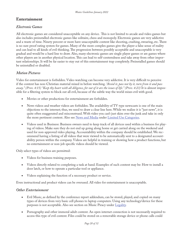### **Entertainment**

#### *Electronic Games*

All electronic games are considered unacceptable on any device. This is not limited to arcade and video games but also includes preinstalled electronic games like solitaire, chess and monopoly. Electronic games are very addictive and a waste of time. Ninety percent or more have unacceptable content like shooting, crashing, swearing, etc. There is no sure proof rating system for games. Many of the more complex games give the player a false sense of reality and can lead to all kinds of evil thinking. The progression between possibly acceptable and unacceptable is very gradual and would be a hard line to draw. Also, many electronic games are single player games or are games where other players are in another physical location. This can lead to self-centeredness and take away from other important relationships. It will be far easier to stay out of this entertainment trap completely. Preinstalled games should be uninstalled or disabled.

#### *Motion Pictures*

Video for entertainment is forbidden. Video watching can become very addictive. It is very difficult to perceive if the content has non-Christian material mixed in before watching. *"Avoid it, pass not by it, turn from it and pass away." (Prov. 4:15) "Keep thy heart with all diligence, for out of it are the issues of life." (Prov. 4:23)* It is almost impossible for a filtering system to block out all evil, because of the subtle way the world mixes evil with good.

- Movies or other productions for entertainment are forbidden.
- News videos and weather videos are forbidden. The availability of  $TV$  type newscasts is one of the main objections to the internet; thus, we need to draw a clear line here. While we realize it is "just news", it is quite often exaggerated and misconstrued. With video you can't just skim over the junk and take in only the more pertinent content. Also see News and Media under Limited Use Categories.
- Videos used in Business: Business owners need to keep track of all devices used within a business for playing of videos. Make sure they do not end up going along home or get carried along on the weekend and used for non-approved video playing. Accountability within the company should be established. We recommend having a listing of all videos that were viewed to be automatically sent to a designated accountability person within the company. Videos are helpful in training or showing how a product functions, but no entertainment or non-job specific videos should be viewed.

Only select types of videos are permitted:

- Videos for business training purposes.
- Videos directly related to completing a task at hand. Examples of such content may be: How to install a door latch, or how to operate a particular tool or appliance.
- Videos explaining the function of a necessary product or service.

Even instructional and product videos can be overused. All video for entertainment is unacceptable.

#### *Other Entertainment*

- Evil Music, as defined by the conference report addendum, can be stored, played, and copied on many types of devices from very basic cell phones to laptop computers. Using any technology/device for these purposes is not acceptable. Also see section on Music Piracy under Legality.
- Pornography and other immoral adult content. An open internet connection is not necessarily required to access this type of evil content. Files could be stored on a removable storage device or phone calls could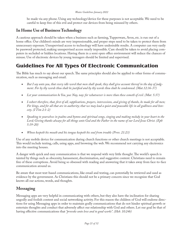be made via any phone. Using any technology/device for these purposes is not acceptable. We need to be careful to keep free of this evil and protect our devices from being misused by others.

### **In Home Use of Business Technology**

A cautious approach should be taken when a business such as farming, Tupperware, Avon, etc. is run out of a home office. Our children's minds are very impressionable, and proper steps need to be taken to protect them from unnecessary exposure. Unsupervised access to technology will have undesirable results. A computer can very easily be password protected, making unsupervised access nearly impossible. Care should be taken to avoid placing computers in secluded or hidden locations. Having them in a semi open office environment will reduce the chances of misuse. Use of electronic devices by young teenagers should be limited and supervised.

### **Guidelines For All Types Of Electronic Communication**

The Bible has much to say about our speech. The same principles should also be applied to other forms of communication, such as messaging and email.

- But I say unto you, that every idle word that men shall speak, they shall give account thereof in the day of judg*ment. For by thy words thou shalt be justified and by thy words thou shalt be condemned. (Mat.12:36-37)*
- Let your communication be Yea, yea: Nay, nay: for whatsoever is more than these cometh of evil. (Mat. 5:37)
- I exhort therefore, that, first of all, supplications, prayers, intercessions, and giving of thanks, be made for all men; *For kings, and for all that are in authority; that we may lead a quiet and peaceable life in all godliness and honesty. (I Tim 2:1-2)*
- • *Speaking to yourselves in psalms and hymns and spiritual songs, singing and making melody in your heart to the Lord; Giving thanks always for all things unto God and the Father in the name of our Lord Jesus Christ. (Eph 5:19-20)*
- • *Whoso keepeth his mouth and his tongue keepeth his soul from trouble (Prov. 21:23)*

Use of any mobile device for communication during church functions or other church meetings is not acceptable. This would include texting, calls, using apps, and browsing the web. We recommend not carrying any electronics into the meeting houses.

A danger with quick and easy communication is that we respond with very little thought. The world's speech is tainted by things such as obscenity, harassment, discrimination, and suggestive content. Christians need to remain free of these corruptions. Avoid being so obsessed with reading and answering that it takes away from face-to-face communication around us.

Be aware that most text-based communications, like email and texting, can potentially be retrieved and used as evidence by the government. As Christians this should not be a primary concern since we recognize that God knows all our actions, words, and thoughts.

### **Messaging**

Messaging apps are very helpful in communicating with others, but they also have the inclination for sharing ungodly and foolish content and social networking activity. For this reason the children of God will endorse directions for using Messaging apps in order to maintain godly communications that do not hinder spiritual growth or entertain thoughts and conduct that adversely affect our relationship with God and others. Let our goal be that of having effective communications that *"provoke unto love and to good works". (Heb. 10:24b)*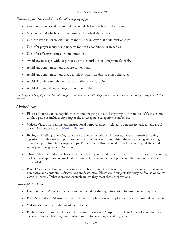#### *Following are the guidelines for Messaging Apps:*

- Communications shall be limited to content that is beneficial and informative.
- Share only that which is true and avoid embellished statements.
- Use it to keep in touch with family and friends in ways that build relationships.
- Use it for prayer requests and updates for health conditions or tragedies.
- Use it for effective business communications.
- Avoid any messages without purpose as this contributes to using time foolishly.
- Avoid any communications that are contentious.
- Avoid any communications that degrade or otherwise disgrace one's character.
- • Avoid all pride, entertainment and any other foolish activity.
- Avoid all immoral and all ungodly communications.

#### *All things are lawful for me, but all things are not expedient: all things are lawful for me, but all things edify not. (I Cor. 10:23)*

#### *Limited Uses*

- Photos: Pictures can be helpful when communicating but avoid anything that promotes self esteem and displays pride or includes anything in the unacceptable categories listed below.
- • Videos: Videos for training and instructional purposes directly related to a necessary task at hand are allowed. Also see section on Motion Pictures.
- Buying and Selling: Shopping apps are not allowed on phones. However, there is a benefit to having a platform to advertise and purchase items within our own communities; therefore buying and selling groups are permitted in messaging apps. Types of items listed should be within church guidelines and no activity in these groups on Sundays.
- Music: Music is limited use because of the tendency to include videos which are unacceptable. All country, rock and corrupt music of any kind are unacceptable. Comments of praise and flattering remarks should be avoided.
- Panel Discussions: Productive discussions are healthy and they encourage positive responses, however argumentive and contentious discussions are destructive. Please avoid subjects that may be foolish or controversial in nature. Debates are unacceptable unless they meet these expectations.

#### *Unacceptable Uses*

- Entertainment: All types of entertainment including sharing information for amusement purposes.
- Pride/Self-Esteem: Sharing personal achievements, business accomplishments or any boastful comments.
- Videos: Videos for entertainment are forbidden.
- Political Discussions: As citizens of the heavenly kingdom, Scripture directs us to pray for and to obey the leaders of this earthly kingdom of which we are to be strangers and pilgrims.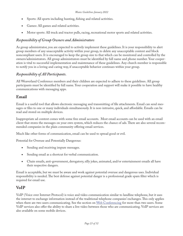- Sports: All sports including hunting, fishing and related activities.
- Games: All games and related activities.
- Motor sports: All truck and tractor pulls, racing, recreational motor sports and related activities.

#### *Responsibility of Group Owners and Administrators*

As group administrator, you are expected to actively implement these guidelines. It is your responsibility to alert group members of any unacceptable activity within your group, to delete any unacceptable content and block noncompliant users. It is encouraged to keep the group size to that which can be monitored and controlled by the owners/administrators. All group administrators must be identified by full name and phone number. Your cooperation is vital to successful implementation and maintenance of these guidelines. Any church member is responsible to notify you in a loving and caring way, if unacceptable behavior continues within your group.

#### *Responsibility of All Participants.*

All Weaverland Conference members and their children are expected to adhere to these guidelines. All group participants must be identified by full name. Your cooperation and support will make it possible to have healthy communications with messaging apps.

#### **Email**

Email is a useful tool that allows electronic messaging and transmitting of file attachments. Email can send messages or files to one or many individuals simultaneously. It is non-intrusive, quick, and affordable. Emails can be read and stored on multiple devices.

Inappropriate ad content comes with some free email accounts. Most email accounts can be used with an email client that stores the messages on your own system, which reduces the chance of ads. There are also several recommended companies in the plain community offering email services.

Much like other forms of communication, email can be used to spread good or evil.

Potential for Overuse and Potentially Dangerous:

- Sending and receiving impure messages.
- Sending email as a shortcut for verbal communication.
- Chain emails, anti-government, derogatory, silly jokes, animated, and/or entertainment emails all have their respective dangers.

Email is acceptable, but we must be aware and work against potential overuse and dangerous uses. Individual responsibility is needed. The best defense against potential danger is a professional grade spam filter which is required for email use.

#### **VoIP**

VoIP (Voice over Internet Protocol) is voice and video communication similar to landline telephone, but it uses the internet to exchange information instead of the traditional telephone companies' exchanges. This only applies when there are two users communicating. See the section on Web Conferencing for more than two users. Some VoIP services also offer the ability to share a live video between those who are communicating. VoIP services are also available on some mobile devices.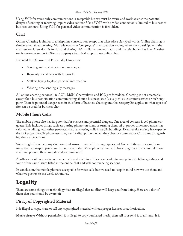Using VoIP for voice only communications is acceptable but we must be aware and work against the potential danger of sending or receiving impure video content. Use of VoIP with a video connection is limited to business to business contacts. Using VoIP for personal video communication is forbidden.

### **Chat**

Online Chatting is similar to a telephone conversation except that takes place via typed words. Online chatting is similar to email and texting. Multiple users can "congregate" in virtual chat rooms, where they participate in the chat session. Users do this for fun and sharing. It's similar to amateur radio and the telephone chat line. Another use is customer support. Often a company's technical support uses online chat.

Potential for Overuse and Potentially Dangerous

- Sending and receiving impure messages.
- Regularly socializing with the world.
- Stalkers trying to glean personal information.
- Wasting time sending silly messages.

All online chatting services like AOL, MSN, Chatroulette, and ICQ are forbidden. Chatting is not acceptable except for a business situation communicating about a business issue (usually this is customer service or tech support). There is potential danger even in this form of business chatting and the category list applies to what types of site can be used for business chat.

### **Mobile Phone Calls**

The mobile phone also has its potential for overuse and potential dangers. One area of concern is cell phone etiquette. This includes things such as: putting phones on silent or turning them off at proper times, not answering calls while talking with other people, and not answering calls in public buildings. Even secular society has expectations of proper mobile phone use. They can be disappointed when they observe conservative Christians disregarding these expectations.

We strongly discourage any ring tone and answer tones with a song type sound. Some of these tunes are from songs that are inappropriate and are not acceptable. Most phones come with basic ringtones that sound like conventional phones; these are safe and recommended.

Another area of concern is conference calls and chat lines. These can lead into gossip, foolish talking, jesting and some of the same issues listed in the online chat and web conferencing sections.

In conclusion, the mobile phone is acceptable for voice calls but we need to keep in mind how we use them and what we portray to the world around us.

### **Legality**

There are some things on technology that are illegal that no filter will keep you from doing. Here are a few of them that you should be aware of:

### **Piracy of Copyrighted Material**

It is illegal to copy, share or sell any copyrighted material without proper licenses or authorization.

**Music piracy:** Without permission, it is illegal to copy purchased music, then sell it or send it to a friend. It is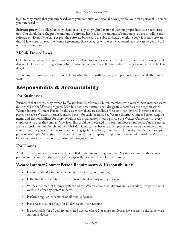legal to copy music that you purchased, onto your computer or personal device just for your own personal use since you purchased it.

**Software piracy:** It is illegal to copy, share or sell any copyrighted material without proper licenses or authorization. You should have the proper amount of software licenses for the amount of computers you are installing the software on. Even if you can get past the software blocks and are able to create a working copy, it is still software theft. Make sure you read the license agreements that you agree with when you download software to get the full terms and conditions.

### **Mobile Device Laws**

Cell phone use while driving: In most states it is illegal to send or read any text, email, or any other message while driving. Unless you are using a hands-free headset, talking on the cell phone while driving a commercial vehicle is illegal.

If you have employees, you are responsible for what they do with company and personal devices while they are at work.

## **Responsibility & Accountability**

### **For Businesses**

Businesses that are majority owned by Weaverland Conference Church members who wish to have internet access must enroll in the Weatec program. Each business organization shall designate a person as their organization's Weatec Internet Contact Person. In the case where there are satellite offices or other physical locations, it is suggested to have a Weatec Internet Contact Person for each location. See Weatec Internet Contact Person Requirements and Responsibilities for more details. Each organization should provide the Weatec Guidelines to every employee who uses the company's devices. This could be integrated into your employee handbook. Our businesses are an extension of our church and our Christian identity. Just because an employee may not be a member of our church does not give us liberties to have them engage in behaviors (on our behalf) that the church does not approve of. (example: Managing a Facebook account for the company) Employers are required to read the Weatec Guidelines document before registering their organization.

### **For Homes**

All devices with internet access must be enrolled in the Weatec program. Each Weatec account needs a contact person. We recommend that fathers are setup as the contact person for their family.

### **Weatec Internet Contact Person Requirements & Responsibilities:**

- Is a Weaverland Conference Church member in good standing.
- Is the first line of contact for any noncompliant activity on their account
- Verifies the internet filtering system and the Weatec accountability program are working properly once a week and after any system updates.
- Performs regular inspections of all mobile devices.
- Has access to all user logs for all devices on their account.
- Is accountable for all activity on shared devices where 2 or more employees have access to the same workstation or device.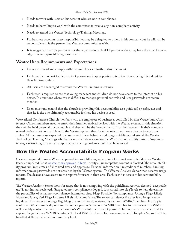- Needs to work with users on his account who are not in compliance.
- Needs to be willing to work with the committee to resolve any non-compliant activity.
- Needs to attend the Weatec Technology Training Meetings.
- For business accounts, these responsibilities may be delegated to others in his company but he will still be responsible and is the person that Weatec communicates with.
- It is suggested that this person is not the organizations chief IT person as they may have the most knowledge how to bypass filtering systems etc.

#### **Weatec Users Requirements and Expectations**

- Users are to read and comply with the guidelines set forth in this document.
- Each user is to report to their contact person any inappropriate content that is not being filtered out by their filtering system.
- All users are encouraged to attend the Weatec Training Meetings.
- Each user is required to see that young teenagers and children do not have access to the internet on his device. In situations where this is difficult to manage, parental controls and user passwords are recommended.
- Users must understand that the church is providing this accountability as a guide rail or safety net and that he is the one ultimately accountable for how his device is used.

Weaverland Conference Church members who are employees of businesses controlled by non Weaverland Conference Church members need to enroll their internet enabled devices with the Weatec system. In this situation they will be held personally accountable and they will be the "contact person" for their account. If their company owned device is not compatible with the Weatec system, they should contact their home deacon to work out a plan. All such users are expected to comply with these behavior and usage guidelines and attend the Weatec Technology Training Meetings whether or not their devices are on the Weatec accountability system. Anytime a teenager is working for such an employer, parents or guardian should also be involved.

### **How the Weatec Accountability Program Works**

Users are required to use a Weatec approved internet filtering system for all internet connected devices. Weatec keeps an updated list at weatec.com/approved-filters/. Ideally all unacceptable content is blocked. The accountability program keeps track of all visited sites and app usage. Personal information like credit card numbers, banking information, or passwords are not obtained by the Weatec system. The Weatec Analysis Server then receives usage reports. The deacons have access to the reports for users in their area. Each user has access to his accountability reports.

The Weatec Analysis Server looks for usage that is not complying with the guidelines. Activity deemed "acceptable use" is not human reviewed. Suspected non-compliance is logged. It is sorted into 'flag' levels to help determine the probability of actual non-compliance. Examples: Gray Flag- Possible Noncompliance; Orange Flag- Likely Noncompliance; Red Flag- Extreme Likely Noncompliance. The server can detect if a user is no longer sending data. This creates an orange flag. Flags are anonymously reviewed by random WMRC members. If a flag is confirmed, it's automatically sent to the contact person & the local WMRC member for his review. The WMRC will possibly contact the user or the business's Weatec internet contact person to find out what happened and to explain the guidelines. WMRC contacts the local WMRC deacon for non-compliance. Discipline/reproof will be handled at the ordained church ministry level.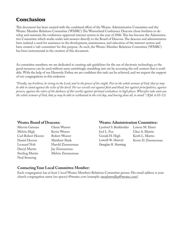### **Conclusion**

This document has been created with the combined effort of the Weatec Administrative Committee and the Weatec Member Relations Committee (WMRC).The Weaverland Conference Deacons chose brethren to develop and maintain the conference-approved internet system in the year of 2006. This has become the Administrative Committee which works under and answers directly to the Board of Deacons. The deacons and administrators have realized a need for assistance in the development, maintenance, and education of the internet system and have created a 'sub-committee' for this purpose. As such, the Weatec Member Relations Committee (WMRC) has been instrumental in the creation of this document.

As committee members, we are dedicated to creating safe guidelines for the use of electronic technology, so the good resources can be used without users unwittingly stumbling into sin by accessing the evil content that is available. With the help of our Heavenly Father, we are confident this task can be achieved, and we request the support of our congregations in this endeavor.

*"Finally, my brethren, be strong in the Lord, and in the power of his might. Put on the whole armour of God, that ye may be able to stand against the wiles of the devil. For we wrestle not against flesh and blood, but against principalities, against powers, against the rulers of the darkness of this world, against spiritual wickedness in high places. Wherefore take unto you the whole armour of God, that ye may be able to withstand in the evil day, and having done all, to stand." (Eph. 6:10-13)*

| Mervin Garman          | Glenn Weaver     | Lynford S. Burkholder Lavern M. Hurs |                 |
|------------------------|------------------|--------------------------------------|-----------------|
| Melvin High            | Kevin Weaver     | Joel L. Fox                          | Glen A. Martin  |
| Carl Robert Hoover     | Robert Weaver    | Gerald H. High                       | Keith L. Martin |
| Daniel Hoover          | Matthew Shirk    | Lowell W. Hoover                     | Kevin D. Zimm   |
| Leonard Nolt           | Harold Zimmerman | Douglas H. Horning                   |                 |
| Darryl Martin          | Jay Zimmerman    |                                      |                 |
| <b>Sterling Martin</b> | Melvin Zimmerman |                                      |                 |
| Neal Sensenig          |                  |                                      |                 |

#### **Weatec Board of Deacons: Weatec Administration Committee:**

Lynford S. Burkholder Lavern M. Hurst Gerald H. High Keith L. Martin Lowell W. Hoover Kevin D. Zimmerman n Douglas H. Horning

#### **Contacting Your Local Committee Member:**

Each congregation has at least 1 local Weatec Members Relations Committee person. His email address is your church congregation name (no spaces) @weatec.com (example: meadowvalley@weatec.com)